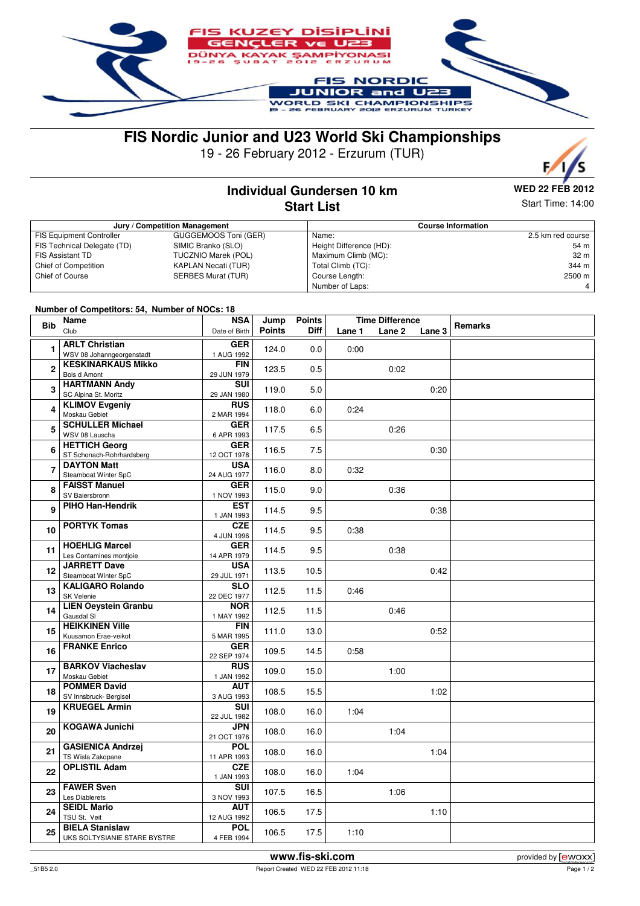

# **FIS Nordic Junior and U23 World Ski Championships**

19 - 26 February 2012 - Erzurum (TUR)



## **Individual Gundersen 10 km Start List**

**WED 22 FEB 2012**

Start Time: 14:00

| Jury / Competition Management   |                            |                         | <b>Course Information</b> |  |  |  |
|---------------------------------|----------------------------|-------------------------|---------------------------|--|--|--|
| <b>FIS Equipment Controller</b> | GUGGEMOOS Toni (GER)       | Name:                   | 2.5 km red course         |  |  |  |
| FIS Technical Delegate (TD)     | SIMIC Branko (SLO)         | Height Difference (HD): | 54 m                      |  |  |  |
| <b>FIS Assistant TD</b>         | <b>TUCZNIO Marek (POL)</b> | Maximum Climb (MC):     | 32 <sub>m</sub>           |  |  |  |
| Chief of Competition            | <b>KAPLAN Necati (TUR)</b> | Total Climb (TC):       | 344 m                     |  |  |  |
| Chief of Course                 | <b>SERBES Murat (TUR)</b>  | Course Length:          | 2500 m                    |  |  |  |
|                                 |                            | Number of Laps:         | 4                         |  |  |  |

#### **Number of Competitors: 54, Number of NOCs: 18**

| <b>Bib</b>      | <b>HUMBOL OF COMPUTIONS: 04, HUMBOL OF NOOS: 10</b><br>Name<br>Club | <b>NSA</b><br>Date of Birth | Jump<br><b>Points</b> | <b>Points</b><br><b>Diff</b> | Lane 1 | <b>Time Difference</b><br>Lane 2<br>Lane 3 | Remarks |
|-----------------|---------------------------------------------------------------------|-----------------------------|-----------------------|------------------------------|--------|--------------------------------------------|---------|
|                 |                                                                     |                             |                       |                              |        |                                            |         |
| 1               | <b>ARLT Christian</b>                                               | <b>GER</b>                  | 124.0                 | 0.0                          | 0:00   |                                            |         |
|                 | WSV 08 Johanngeorgenstadt                                           | 1 AUG 1992                  |                       |                              |        |                                            |         |
| $\overline{2}$  | <b>KESKINARKAUS Mikko</b><br>Bois d Amont                           | <b>FIN</b><br>29 JUN 1979   | 123.5                 | 0.5                          |        | 0:02                                       |         |
| 3               | <b>HARTMANN Andy</b><br>SC Alpina St. Moritz                        | <b>SUI</b><br>29 JAN 1980   | 119.0                 | 5.0                          |        | 0:20                                       |         |
| 4               | <b>KLIMOV Evgeniy</b>                                               | <b>RUS</b>                  | 118.0                 | 6.0                          | 0:24   |                                            |         |
|                 | Moskau Gebiet                                                       | 2 MAR 1994                  |                       |                              |        |                                            |         |
| 5               | <b>SCHULLER Michael</b><br>WSV 08 Lauscha                           | <b>GER</b><br>6 APR 1993    | 117.5                 | 6.5                          |        | 0:26                                       |         |
| 6               | <b>HETTICH Georg</b><br>ST Schonach-Rohrhardsberg                   | <b>GER</b><br>12 OCT 1978   | 116.5                 | 7.5                          |        | 0:30                                       |         |
|                 | <b>DAYTON Matt</b>                                                  | <b>USA</b>                  |                       |                              |        |                                            |         |
| 7               | Steamboat Winter SpC                                                | 24 AUG 1977                 | 116.0                 | 8.0                          | 0:32   |                                            |         |
|                 | <b>FAISST Manuel</b>                                                | <b>GER</b>                  |                       |                              |        |                                            |         |
| 8               | SV Baiersbronn                                                      | 1 NOV 1993                  | 115.0                 | 9.0                          |        | 0:36                                       |         |
| 9               | PIHO Han-Hendrik                                                    | <b>EST</b><br>1 JAN 1993    | 114.5                 | 9.5                          |        | 0:38                                       |         |
| 10              | <b>PORTYK Tomas</b>                                                 | <b>CZE</b><br>4 JUN 1996    | 114.5                 | 9.5                          | 0:38   |                                            |         |
|                 | <b>HOEHLIG Marcel</b>                                               | <b>GER</b>                  |                       |                              |        |                                            |         |
| 11              | Les Contamines montjoie                                             | 14 APR 1979                 | 114.5                 | 9.5                          |        | 0:38                                       |         |
| 12 <sub>2</sub> | <b>JARRETT Dave</b><br>Steamboat Winter SpC                         | <b>USA</b><br>29 JUL 1971   | 113.5                 | 10.5                         |        | 0:42                                       |         |
| 13              | <b>KALIGARO Rolando</b><br>SK Velenie                               | <b>SLO</b><br>22 DEC 1977   | 112.5                 | 11.5                         | 0:46   |                                            |         |
| 14              | <b>LIEN Oeystein Granbu</b><br>Gausdal SI                           | <b>NOR</b><br>1 MAY 1992    | 112.5                 | 11.5                         |        | 0:46                                       |         |
| 15              | <b>HEIKKINEN Ville</b><br>Kuusamon Erae-veikot                      | <b>FIN</b><br>5 MAR 1995    | 111.0                 | 13.0                         |        | 0:52                                       |         |
|                 | <b>FRANKE Enrico</b>                                                | <b>GER</b>                  |                       |                              |        |                                            |         |
| 16              |                                                                     | 22 SEP 1974                 | 109.5                 | 14.5                         | 0:58   |                                            |         |
| 17              | <b>BARKOV Viacheslav</b><br>Moskau Gebiet                           | <b>RUS</b><br>1 JAN 1992    | 109.0                 | 15.0                         |        | 1:00                                       |         |
| 18              | <b>POMMER David</b><br>SV Innsbruck- Bergisel                       | <b>AUT</b><br>3 AUG 1993    | 108.5                 | 15.5                         |        | 1:02                                       |         |
| 19              | <b>KRUEGEL Armin</b>                                                | <b>SUI</b>                  | 108.0                 | 16.0                         | 1:04   |                                            |         |
| 20              | <b>KOGAWA Junichi</b>                                               | 22 JUL 1982<br><b>JPN</b>   | 108.0                 | 16.0                         |        | 1:04                                       |         |
|                 | <b>GASIENICA Andrzej</b>                                            | 21 OCT 1976<br><b>POL</b>   |                       |                              |        |                                            |         |
| 21              | TS Wisla Zakopane                                                   | 11 APR 1993                 | 108.0                 | 16.0                         |        | 1:04                                       |         |
| 22              | <b>OPLISTIL Adam</b>                                                | <b>CZE</b><br>1 JAN 1993    | 108.0                 | 16.0                         | 1:04   |                                            |         |
| 23              | <b>FAWER Sven</b><br>Les Diablerets                                 | <b>SUI</b><br>3 NOV 1993    | 107.5                 | 16.5                         |        | 1:06                                       |         |
| 24              | <b>SEIDL Mario</b><br>TSU St. Veit                                  | <b>AUT</b><br>12 AUG 1992   | 106.5                 | 17.5                         |        | 1:10                                       |         |
| 25              | <b>BIELA Stanislaw</b><br>UKS SOLTYSIANIE STARE BYSTRE              | <b>POL</b><br>4 FEB 1994    | 106.5                 | 17.5                         | 1:10   |                                            |         |
|                 |                                                                     |                             |                       |                              |        |                                            |         |

\_51B5 2.0 Report Created WED 22 FEB 2012 11:18